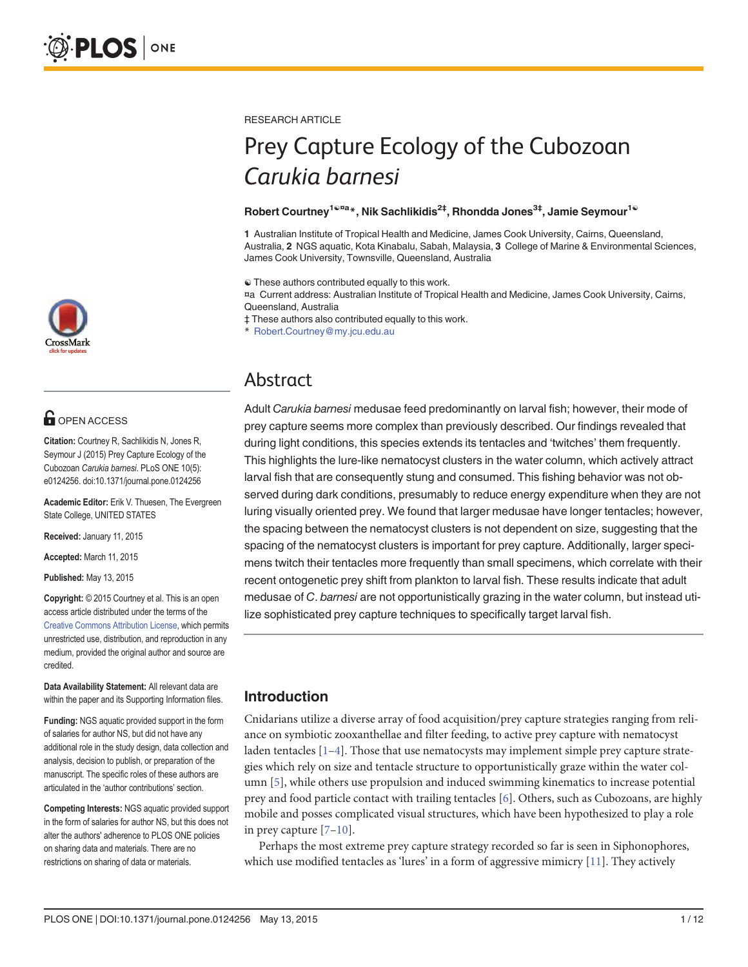

## **OPEN ACCESS**

Citation: Courtney R, Sachlikidis N, Jones R, Seymour J (2015) Prey Capture Ecology of the Cubozoan Carukia barnesi. PLoS ONE 10(5): e0124256. doi:10.1371/journal.pone.0124256

Academic Editor: Erik V. Thuesen, The Evergreen State College, UNITED STATES

Received: January 11, 2015

Accepted: March 11, 2015

Published: May 13, 2015

Copyright: © 2015 Courtney et al. This is an open access article distributed under the terms of the [Creative Commons Attribution License,](http://creativecommons.org/licenses/by/4.0/) which permits unrestricted use, distribution, and reproduction in any medium, provided the original author and source are credited.

Data Availability Statement: All relevant data are within the paper and its Supporting Information files.

Funding: NGS aquatic provided support in the form of salaries for author NS, but did not have any additional role in the study design, data collection and analysis, decision to publish, or preparation of the manuscript. The specific roles of these authors are articulated in the 'author contributions' section.

Competing Interests: NGS aquatic provided support in the form of salaries for author NS, but this does not alter the authors' adherence to PLOS ONE policies on sharing data and materials. There are no restrictions on sharing of data or materials.

<span id="page-0-0"></span>RESEARCH ARTICLE

# Prey Capture Ecology of the Cubozoan Carukia barnesi

#### $\mathsf{Robert} \ \mathsf{Country^{1@ra}}$ \*, Nik Sachlikidis $^{2\ddagger}, \mathsf{Rh}$ ondda Jones $^{3\ddagger}, \mathsf{Jamie} \ \mathsf{Seymour}^{1@}$

1 Australian Institute of Tropical Health and Medicine, James Cook University, Cairns, Queensland, Australia, 2 NGS aquatic, Kota Kinabalu, Sabah, Malaysia, 3 College of Marine & Environmental Sciences, James Cook University, Townsville, Queensland, Australia

☯ These authors contributed equally to this work.

¤a Current address: Australian Institute of Tropical Health and Medicine, James Cook University, Cairns, Queensland, Australia

‡ These authors also contributed equally to this work.

\* Robert.Courtney@my.jcu.edu.au

## Abstract Abstract

Adult Carukia barnesi medusae feed predominantly on larval fish; however, their mode of prey capture seems more complex than previously described. Our findings revealed that during light conditions, this species extends its tentacles and 'twitches' them frequently. This highlights the lure-like nematocyst clusters in the water column, which actively attract larval fish that are consequently stung and consumed. This fishing behavior was not observed during dark conditions, presumably to reduce energy expenditure when they are not luring visually oriented prey. We found that larger medusae have longer tentacles; however, the spacing between the nematocyst clusters is not dependent on size, suggesting that the spacing of the nematocyst clusters is important for prey capture. Additionally, larger specimens twitch their tentacles more frequently than small specimens, which correlate with their recent ontogenetic prey shift from plankton to larval fish. These results indicate that adult medusae of C. barnesi are not opportunistically grazing in the water column, but instead utilize sophisticated prey capture techniques to specifically target larval fish.

## Introduction

Cnidarians utilize a diverse array of food acquisition/prey capture strategies ranging from reliance on symbiotic zooxanthellae and filter feeding, to active prey capture with nematocyst laden tentacles  $[1-4]$  $[1-4]$  $[1-4]$ . Those that use nematocysts may implement simple prey capture strategies which rely on size and tentacle structure to opportunistically graze within the water column [\[5](#page-9-0)], while others use propulsion and induced swimming kinematics to increase potential prey and food particle contact with trailing tentacles [[6\]](#page-9-0). Others, such as Cubozoans, are highly mobile and posses complicated visual structures, which have been hypothesized to play a role in prey capture  $[7-10]$  $[7-10]$  $[7-10]$ .

Perhaps the most extreme prey capture strategy recorded so far is seen in Siphonophores, which use modified tentacles as 'lures' in a form of aggressive mimicry  $[11]$  $[11]$ . They actively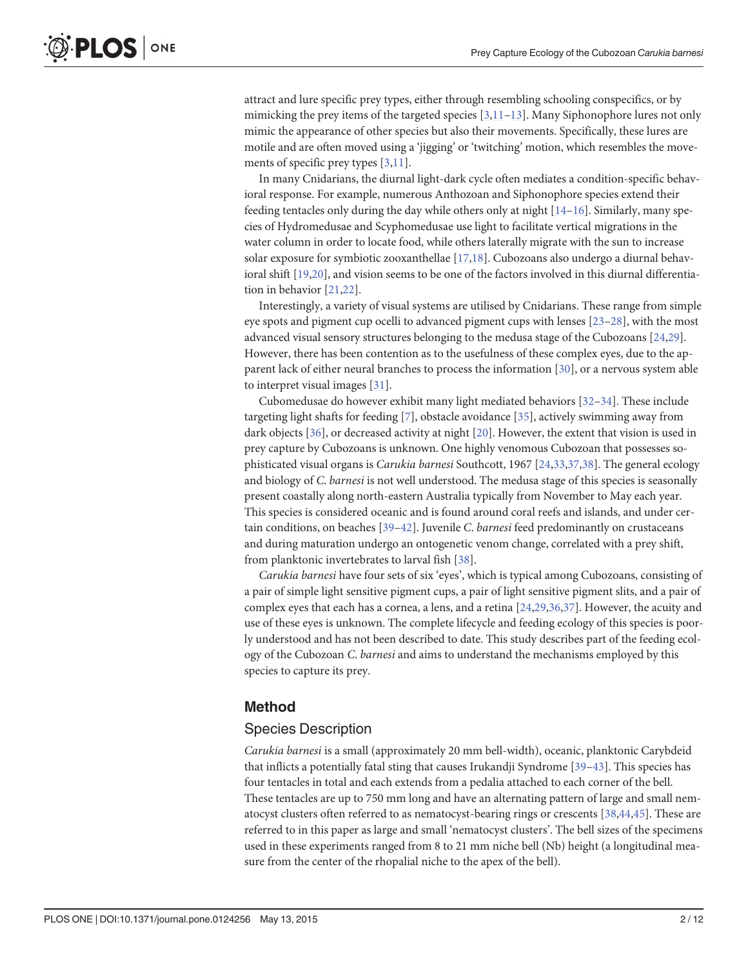<span id="page-1-0"></span>attract and lure specific prey types, either through resembling schooling conspecifics, or by mimicking the prey items of the targeted species  $[3,11-13]$  $[3,11-13]$  $[3,11-13]$  $[3,11-13]$ . Many Siphonophore lures not only mimic the appearance of other species but also their movements. Specifically, these lures are motile and are often moved using a 'jigging' or 'twitching' motion, which resembles the movements of specific prey types [[3](#page-9-0),[11](#page-9-0)].

In many Cnidarians, the diurnal light-dark cycle often mediates a condition-specific behavioral response. For example, numerous Anthozoan and Siphonophore species extend their feeding tentacles only during the day while others only at night  $[14-16]$  $[14-16]$  $[14-16]$  $[14-16]$ . Similarly, many species of Hydromedusae and Scyphomedusae use light to facilitate vertical migrations in the water column in order to locate food, while others laterally migrate with the sun to increase solar exposure for symbiotic zooxanthellae [[17,18\]](#page-9-0). Cubozoans also undergo a diurnal behavioral shift [\[19,20\]](#page-9-0), and vision seems to be one of the factors involved in this diurnal differentiation in behavior [[21](#page-9-0),[22](#page-10-0)].

Interestingly, a variety of visual systems are utilised by Cnidarians. These range from simple eye spots and pigment cup ocelli to advanced pigment cups with lenses  $[23-28]$  $[23-28]$  $[23-28]$ , with the most advanced visual sensory structures belonging to the medusa stage of the Cubozoans [\[24,29](#page-10-0)]. However, there has been contention as to the usefulness of these complex eyes, due to the apparent lack of either neural branches to process the information [\[30](#page-10-0)], or a nervous system able to interpret visual images [[31](#page-10-0)].

Cubomedusae do however exhibit many light mediated behaviors  $[32-34]$  $[32-34]$  $[32-34]$  $[32-34]$  $[32-34]$ . These include targeting light shafts for feeding  $[7]$  $[7]$  $[7]$ , obstacle avoidance  $[35]$  $[35]$  $[35]$ , actively swimming away from dark objects [[36](#page-10-0)], or decreased activity at night [\[20\]](#page-9-0). However, the extent that vision is used in prey capture by Cubozoans is unknown. One highly venomous Cubozoan that possesses sophisticated visual organs is Carukia barnesi Southcott, 1967 [\[24,33,37](#page-10-0),[38](#page-10-0)]. The general ecology and biology of C. barnesi is not well understood. The medusa stage of this species is seasonally present coastally along north-eastern Australia typically from November to May each year. This species is considered oceanic and is found around coral reefs and islands, and under certain conditions, on beaches [\[39](#page-10-0)–[42\]](#page-10-0). Juvenile C. barnesi feed predominantly on crustaceans and during maturation undergo an ontogenetic venom change, correlated with a prey shift, from planktonic invertebrates to larval fish [[38\]](#page-10-0).

Carukia barnesi have four sets of six 'eyes', which is typical among Cubozoans, consisting of a pair of simple light sensitive pigment cups, a pair of light sensitive pigment slits, and a pair of complex eyes that each has a cornea, a lens, and a retina [[24](#page-10-0),[29,36,37\]](#page-10-0). However, the acuity and use of these eyes is unknown. The complete lifecycle and feeding ecology of this species is poorly understood and has not been described to date. This study describes part of the feeding ecology of the Cubozoan C. barnesi and aims to understand the mechanisms employed by this species to capture its prey.

## Method

#### Species Description

Carukia barnesi is a small (approximately 20 mm bell-width), oceanic, planktonic Carybdeid that inflicts a potentially fatal sting that causes Irukandji Syndrome [\[39](#page-10-0)–[43\]](#page-10-0). This species has four tentacles in total and each extends from a pedalia attached to each corner of the bell. These tentacles are up to 750 mm long and have an alternating pattern of large and small nematocyst clusters often referred to as nematocyst-bearing rings or crescents [\[38,44](#page-10-0),[45](#page-10-0)]. These are referred to in this paper as large and small 'nematocyst clusters'. The bell sizes of the specimens used in these experiments ranged from 8 to 21 mm niche bell (Nb) height (a longitudinal measure from the center of the rhopalial niche to the apex of the bell).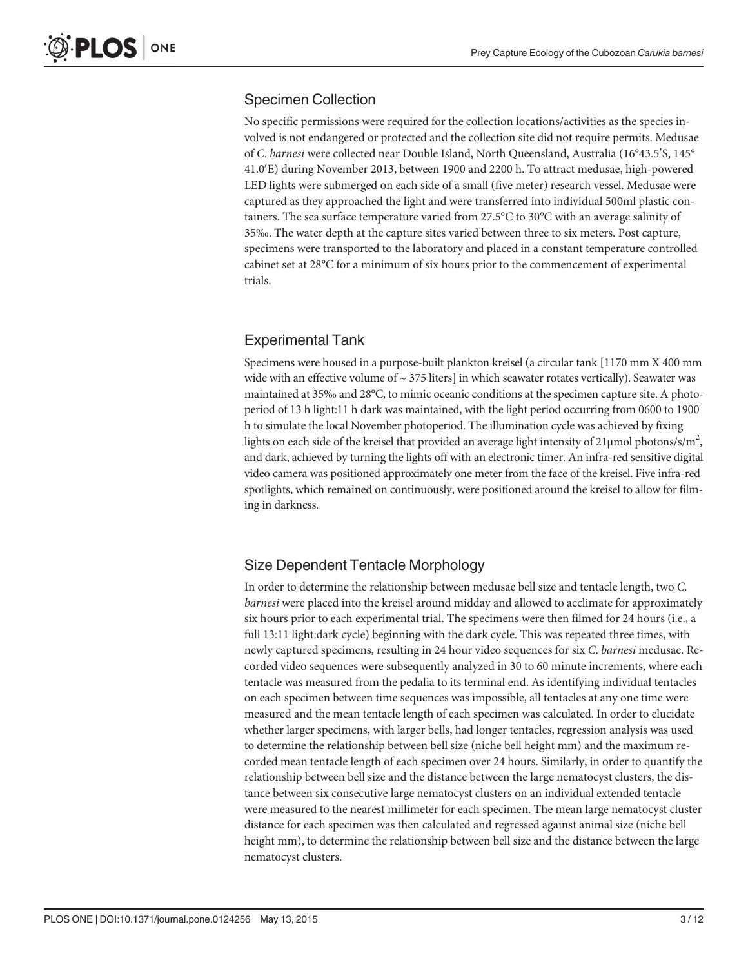## Specimen Collection

No specific permissions were required for the collection locations/activities as the species involved is not endangered or protected and the collection site did not require permits. Medusae of C. barnesi were collected near Double Island, North Queensland, Australia (16°43.5'S, 145° 41.0'E) during November 2013, between 1900 and 2200 h. To attract medusae, high-powered LED lights were submerged on each side of a small (five meter) research vessel. Medusae were captured as they approached the light and were transferred into individual 500ml plastic containers. The sea surface temperature varied from 27.5°C to 30°C with an average salinity of 35‰. The water depth at the capture sites varied between three to six meters. Post capture, specimens were transported to the laboratory and placed in a constant temperature controlled cabinet set at 28°C for a minimum of six hours prior to the commencement of experimental trials.

## Experimental Tank

Specimens were housed in a purpose-built plankton kreisel (a circular tank [1170 mm X 400 mm wide with an effective volume of  $\sim$  375 liters] in which seawater rotates vertically). Seawater was maintained at 35‰ and 28°C, to mimic oceanic conditions at the specimen capture site. A photoperiod of 13 h light:11 h dark was maintained, with the light period occurring from 0600 to 1900 h to simulate the local November photoperiod. The illumination cycle was achieved by fixing lights on each side of the kreisel that provided an average light intensity of 21µmol photons/s/m<sup>2</sup>, and dark, achieved by turning the lights off with an electronic timer. An infra-red sensitive digital video camera was positioned approximately one meter from the face of the kreisel. Five infra-red spotlights, which remained on continuously, were positioned around the kreisel to allow for filming in darkness.

## Size Dependent Tentacle Morphology

In order to determine the relationship between medusae bell size and tentacle length, two C. barnesi were placed into the kreisel around midday and allowed to acclimate for approximately six hours prior to each experimental trial. The specimens were then filmed for 24 hours (i.e., a full 13:11 light:dark cycle) beginning with the dark cycle. This was repeated three times, with newly captured specimens, resulting in 24 hour video sequences for six C. barnesi medusae. Recorded video sequences were subsequently analyzed in 30 to 60 minute increments, where each tentacle was measured from the pedalia to its terminal end. As identifying individual tentacles on each specimen between time sequences was impossible, all tentacles at any one time were measured and the mean tentacle length of each specimen was calculated. In order to elucidate whether larger specimens, with larger bells, had longer tentacles, regression analysis was used to determine the relationship between bell size (niche bell height mm) and the maximum recorded mean tentacle length of each specimen over 24 hours. Similarly, in order to quantify the relationship between bell size and the distance between the large nematocyst clusters, the distance between six consecutive large nematocyst clusters on an individual extended tentacle were measured to the nearest millimeter for each specimen. The mean large nematocyst cluster distance for each specimen was then calculated and regressed against animal size (niche bell height mm), to determine the relationship between bell size and the distance between the large nematocyst clusters.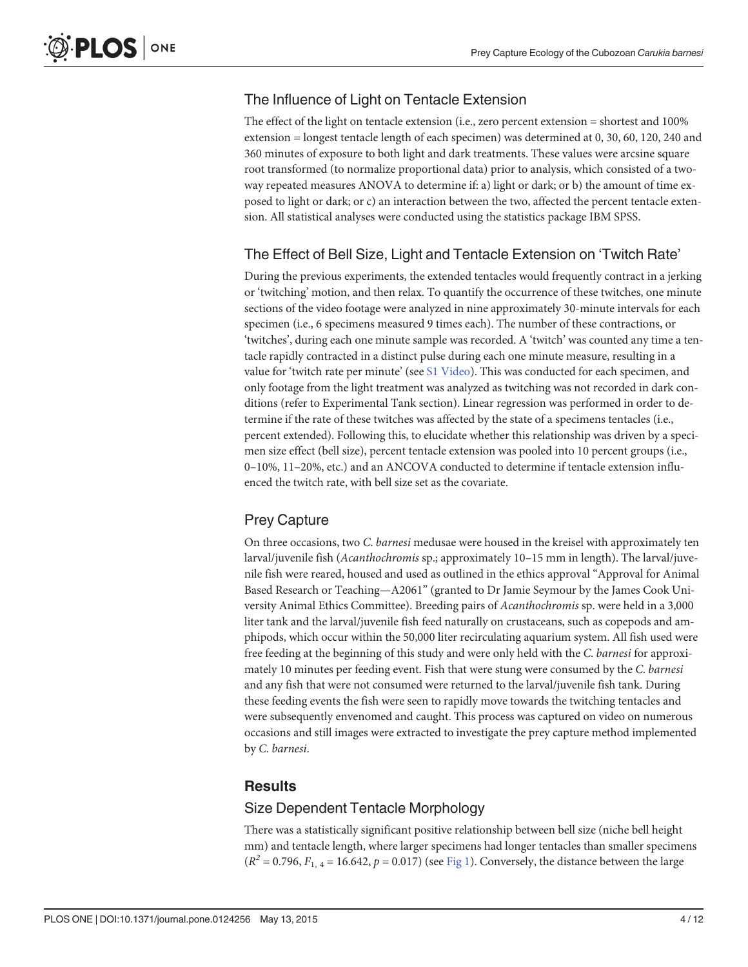## <span id="page-3-0"></span>The Influence of Light on Tentacle Extension

The effect of the light on tentacle extension (i.e., zero percent extension = shortest and 100% extension = longest tentacle length of each specimen) was determined at 0, 30, 60, 120, 240 and 360 minutes of exposure to both light and dark treatments. These values were arcsine square root transformed (to normalize proportional data) prior to analysis, which consisted of a twoway repeated measures ANOVA to determine if: a) light or dark; or b) the amount of time exposed to light or dark; or c) an interaction between the two, affected the percent tentacle extension. All statistical analyses were conducted using the statistics package IBM SPSS.

## The Effect of Bell Size, Light and Tentacle Extension on 'Twitch Rate'

During the previous experiments, the extended tentacles would frequently contract in a jerking or 'twitching' motion, and then relax. To quantify the occurrence of these twitches, one minute sections of the video footage were analyzed in nine approximately 30-minute intervals for each specimen (i.e., 6 specimens measured 9 times each). The number of these contractions, or 'twitches', during each one minute sample was recorded. A 'twitch' was counted any time a tentacle rapidly contracted in a distinct pulse during each one minute measure, resulting in a value for 'twitch rate per minute' (see [S1 Video](#page-8-0)). This was conducted for each specimen, and only footage from the light treatment was analyzed as twitching was not recorded in dark conditions (refer to Experimental Tank section). Linear regression was performed in order to determine if the rate of these twitches was affected by the state of a specimens tentacles (i.e., percent extended). Following this, to elucidate whether this relationship was driven by a specimen size effect (bell size), percent tentacle extension was pooled into 10 percent groups (i.e., 0–10%, 11–20%, etc.) and an ANCOVA conducted to determine if tentacle extension influenced the twitch rate, with bell size set as the covariate.

## Prey Capture

On three occasions, two C. barnesi medusae were housed in the kreisel with approximately ten larval/juvenile fish (Acanthochromis sp.; approximately 10–15 mm in length). The larval/juvenile fish were reared, housed and used as outlined in the ethics approval "Approval for Animal Based Research or Teaching—A2061" (granted to Dr Jamie Seymour by the James Cook University Animal Ethics Committee). Breeding pairs of Acanthochromis sp. were held in a 3,000 liter tank and the larval/juvenile fish feed naturally on crustaceans, such as copepods and amphipods, which occur within the 50,000 liter recirculating aquarium system. All fish used were free feeding at the beginning of this study and were only held with the C. barnesi for approximately 10 minutes per feeding event. Fish that were stung were consumed by the C. barnesi and any fish that were not consumed were returned to the larval/juvenile fish tank. During these feeding events the fish were seen to rapidly move towards the twitching tentacles and were subsequently envenomed and caught. This process was captured on video on numerous occasions and still images were extracted to investigate the prey capture method implemented by C. barnesi.

## **Results**

## Size Dependent Tentacle Morphology

There was a statistically significant positive relationship between bell size (niche bell height mm) and tentacle length, where larger specimens had longer tentacles than smaller specimens  $(R^2 = 0.796, F_{1,4} = 16.642, p = 0.017)$  (see [Fig 1\)](#page-4-0). Conversely, the distance between the large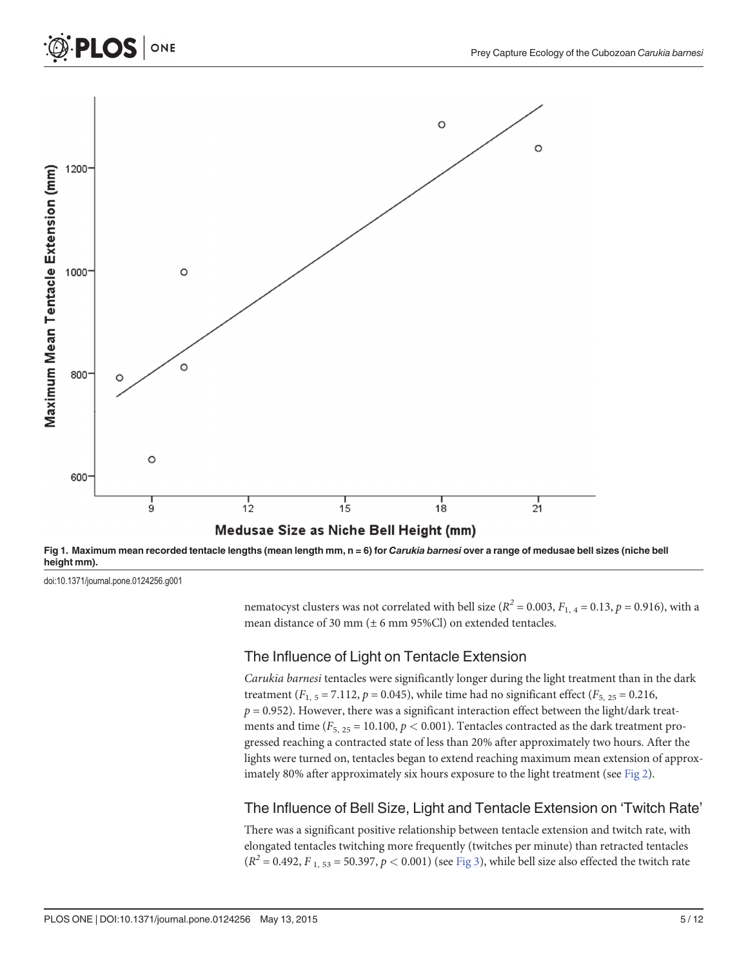<span id="page-4-0"></span>



nematocyst clusters was not correlated with bell size ( $R^2 = 0.003$ ,  $F_{1,4} = 0.13$ ,  $p = 0.916$ ), with a mean distance of 30 mm (± 6 mm 95%Cl) on extended tentacles.

## The Influence of Light on Tentacle Extension

Carukia barnesi tentacles were significantly longer during the light treatment than in the dark treatment ( $F_{1, 5} = 7.112$ ,  $p = 0.045$ ), while time had no significant effect ( $F_{5, 25} = 0.216$ ,  $p = 0.952$ ). However, there was a significant interaction effect between the light/dark treatments and time ( $F_{5, 25}$  = 10.100,  $p$  < 0.001). Tentacles contracted as the dark treatment progressed reaching a contracted state of less than 20% after approximately two hours. After the lights were turned on, tentacles began to extend reaching maximum mean extension of approx-imately 80% after approximately six hours exposure to the light treatment (see [Fig 2\)](#page-5-0).

## The Influence of Bell Size, Light and Tentacle Extension on 'Twitch Rate'

There was a significant positive relationship between tentacle extension and twitch rate, with elongated tentacles twitching more frequently (twitches per minute) than retracted tentacles  $(R^{2} = 0.492, F_{1, 53} = 50.397, p < 0.001)$  (see [Fig 3\)](#page-6-0), while bell size also effected the twitch rate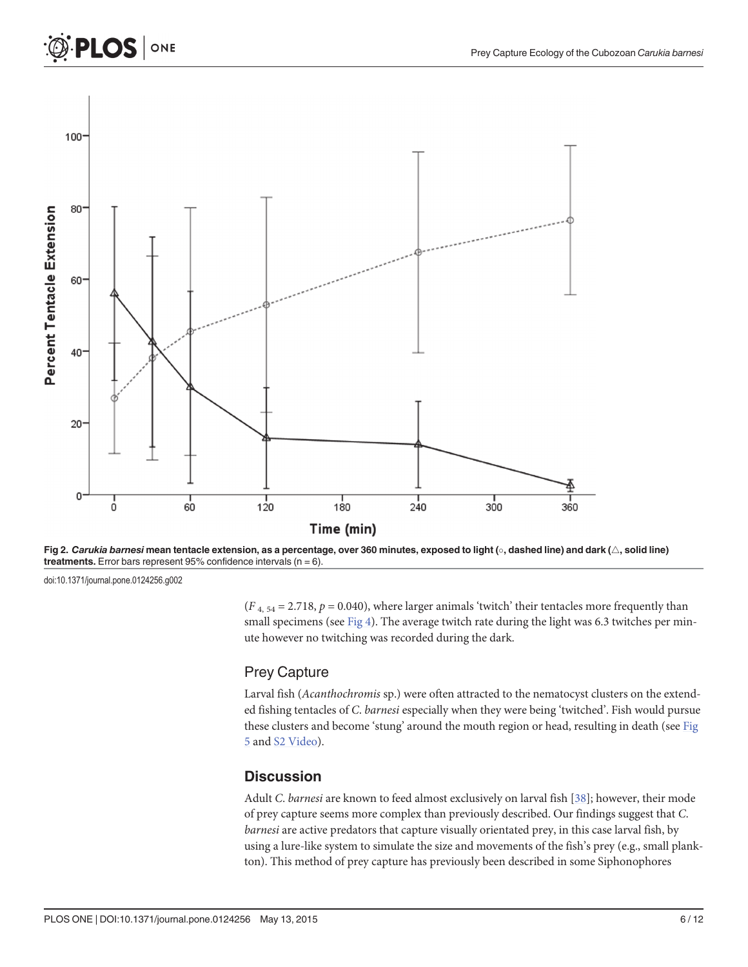<span id="page-5-0"></span>



 $(F_{4, 54} = 2.718, p = 0.040)$ , where larger animals 'twitch' their tentacles more frequently than small specimens (see  $Fig 4$ ). The average twitch rate during the light was 6.3 twitches per minute however no twitching was recorded during the dark.

## Prey Capture

Larval fish (Acanthochromis sp.) were often attracted to the nematocyst clusters on the extended fishing tentacles of C. barnesi especially when they were being 'twitched'. Fish would pursue these clusters and become 'stung' around the mouth region or head, resulting in death (see [Fig](#page-8-0) [5](#page-8-0) and [S2 Video\)](#page-8-0).

## **Discussion**

Adult C. barnesi are known to feed almost exclusively on larval fish [\[38](#page-10-0)]; however, their mode of prey capture seems more complex than previously described. Our findings suggest that C. barnesi are active predators that capture visually orientated prey, in this case larval fish, by using a lure-like system to simulate the size and movements of the fish's prey (e.g., small plankton). This method of prey capture has previously been described in some Siphonophores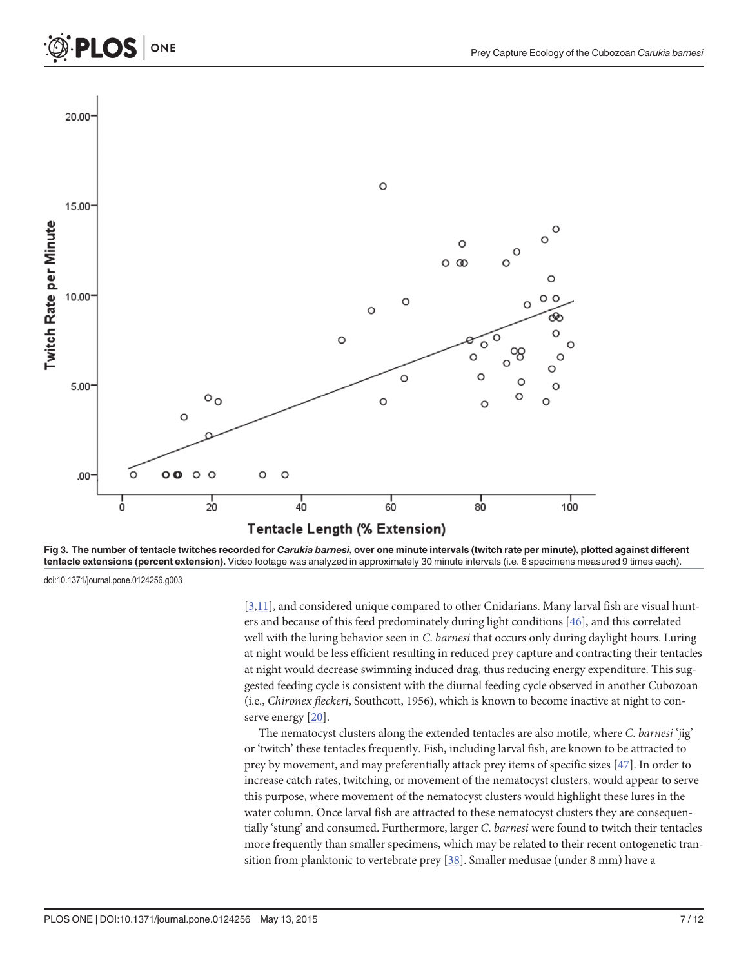<span id="page-6-0"></span>



LOS I

ONE

[\[3,11](#page-9-0)], and considered unique compared to other Cnidarians. Many larval fish are visual hunters and because of this feed predominately during light conditions [[46](#page-10-0)], and this correlated well with the luring behavior seen in C. barnesi that occurs only during daylight hours. Luring at night would be less efficient resulting in reduced prey capture and contracting their tentacles at night would decrease swimming induced drag, thus reducing energy expenditure. This suggested feeding cycle is consistent with the diurnal feeding cycle observed in another Cubozoan (i.e., Chironex fleckeri, Southcott, 1956), which is known to become inactive at night to con-serve energy [[20](#page-9-0)].

The nematocyst clusters along the extended tentacles are also motile, where C. barnesi 'jig' or 'twitch' these tentacles frequently. Fish, including larval fish, are known to be attracted to prey by movement, and may preferentially attack prey items of specific sizes [[47](#page-10-0)]. In order to increase catch rates, twitching, or movement of the nematocyst clusters, would appear to serve this purpose, where movement of the nematocyst clusters would highlight these lures in the water column. Once larval fish are attracted to these nematocyst clusters they are consequentially 'stung' and consumed. Furthermore, larger C. barnesi were found to twitch their tentacles more frequently than smaller specimens, which may be related to their recent ontogenetic transition from planktonic to vertebrate prey [[38](#page-10-0)]. Smaller medusae (under 8 mm) have a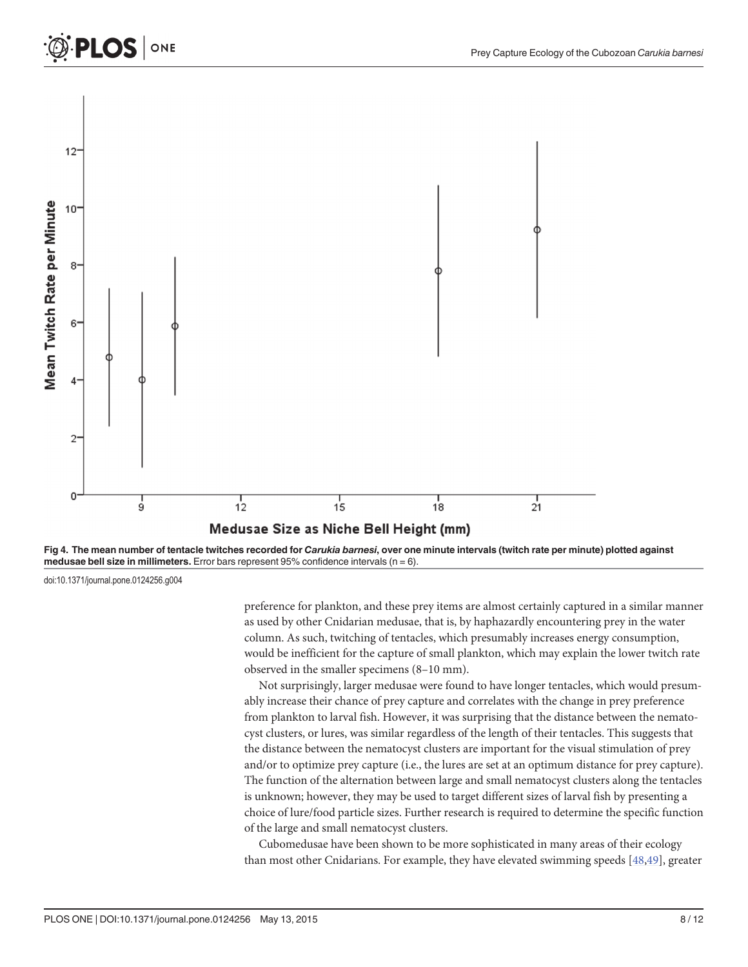<span id="page-7-0"></span>



ONE

preference for plankton, and these prey items are almost certainly captured in a similar manner as used by other Cnidarian medusae, that is, by haphazardly encountering prey in the water column. As such, twitching of tentacles, which presumably increases energy consumption, would be inefficient for the capture of small plankton, which may explain the lower twitch rate observed in the smaller specimens (8–10 mm).

Not surprisingly, larger medusae were found to have longer tentacles, which would presumably increase their chance of prey capture and correlates with the change in prey preference from plankton to larval fish. However, it was surprising that the distance between the nematocyst clusters, or lures, was similar regardless of the length of their tentacles. This suggests that the distance between the nematocyst clusters are important for the visual stimulation of prey and/or to optimize prey capture (i.e., the lures are set at an optimum distance for prey capture). The function of the alternation between large and small nematocyst clusters along the tentacles is unknown; however, they may be used to target different sizes of larval fish by presenting a choice of lure/food particle sizes. Further research is required to determine the specific function of the large and small nematocyst clusters.

Cubomedusae have been shown to be more sophisticated in many areas of their ecology than most other Cnidarians. For example, they have elevated swimming speeds [[48,49](#page-11-0)], greater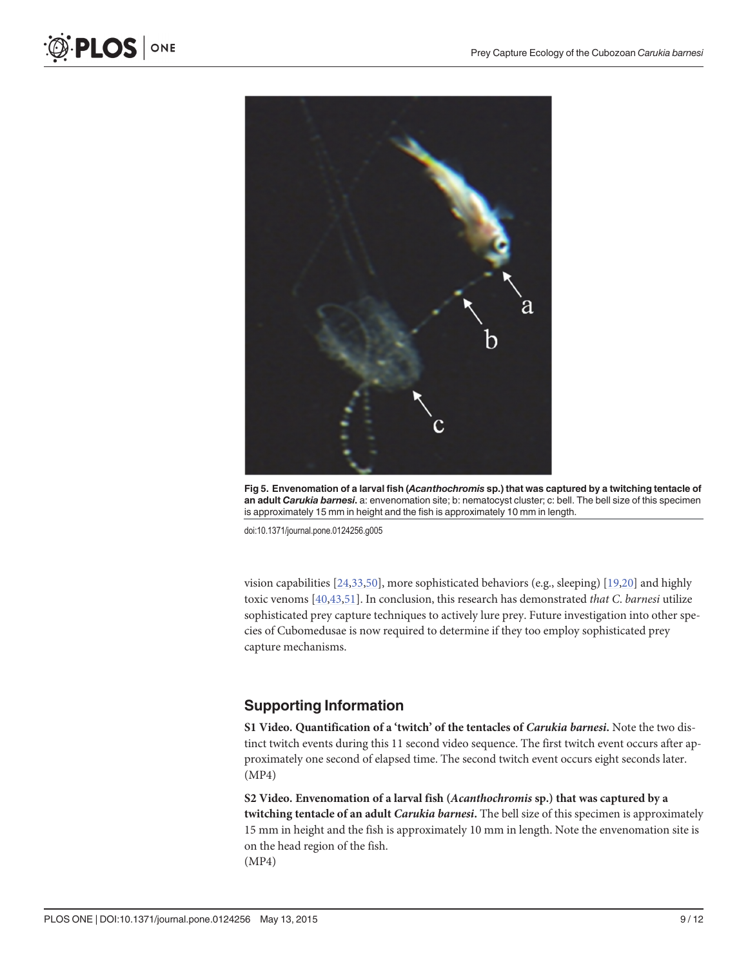<span id="page-8-0"></span>



[Fig 5. E](#page-5-0)nvenomation of a larval fish (Acanthochromis sp.) that was captured by a twitching tentacle of an adult Carukia barnesi. a: envenomation site; b: nematocyst cluster; c: bell. The bell size of this specimen is approximately 15 mm in height and the fish is approximately 10 mm in length.

vision capabilities  $[24,33,50]$  $[24,33,50]$  $[24,33,50]$  $[24,33,50]$ , more sophisticated behaviors (e.g., sleeping)  $[19,20]$  and highly toxic venoms  $[40,43,51]$  $[40,43,51]$  $[40,43,51]$ . In conclusion, this research has demonstrated that C. barnesi utilize sophisticated prey capture techniques to actively lure prey. Future investigation into other species of Cubomedusae is now required to determine if they too employ sophisticated prey capture mechanisms.

## Supporting Information

[S1 Video](http://www.plosone.org/article/fetchSingleRepresentation.action?uri=info:doi/10.1371/journal.pone.0124256.s001). Quantification of a 'twitch' of the tentacles of *Carukia barnesi*. Note the two distinct twitch events during this 11 second video sequence. The first twitch event occurs after approximately one second of elapsed time. The second twitch event occurs eight seconds later. (MP4)

[S2 Video](http://www.plosone.org/article/fetchSingleRepresentation.action?uri=info:doi/10.1371/journal.pone.0124256.s002). Envenomation of a larval fish (Acanthochromis sp.) that was captured by a twitching tentacle of an adult *Carukia barnesi*. The bell size of this specimen is approximately 15 mm in height and the fish is approximately 10 mm in length. Note the envenomation site is on the head region of the fish. (MP4)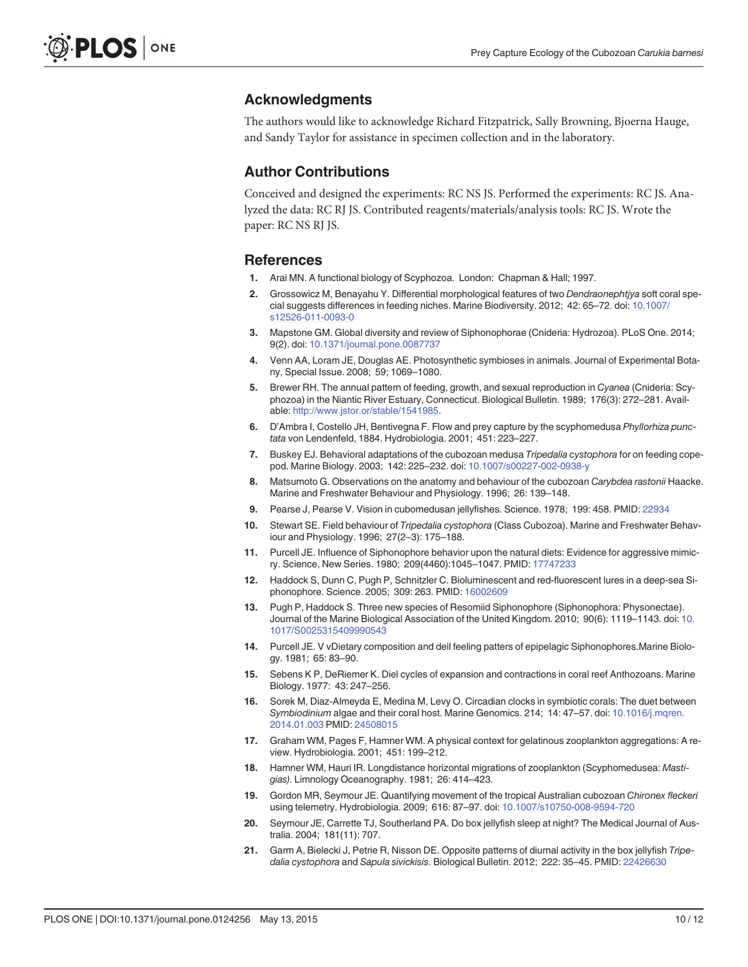## <span id="page-9-0"></span>Acknowledgments

The authors would like to acknowledge Richard Fitzpatrick, Sally Browning, Bjoerna Hauge, and Sandy Taylor for assistance in specimen collection and in the laboratory.

## Author Contributions

Conceived and designed the experiments: RC NS JS. Performed the experiments: RC JS. Analyzed the data: RC RJ JS. Contributed reagents/materials/analysis tools: RC JS. Wrote the paper: RC NS RJ JS.

#### References

- [1.](#page-0-0) Arai MN. A functional biology of Scyphozoa. London: Chapman & Hall; 1997.
- 2. Grossowicz M, Benayahu Y. Differential morphological features of two Dendraonephtjya soft coral special suggests differences in feeding niches. Marine Biodiversity. 2012; 42: 65–72. doi: [10.1007/](http://dx.doi.org/10.1007/s12526-011-0093-0) [s12526-011-0093-0](http://dx.doi.org/10.1007/s12526-011-0093-0)
- [3.](#page-1-0) Mapstone GM. Global diversity and review of Siphonophorae (Cnideria: Hydrozoa). PLoS One. 2014; 9(2). doi: [10.1371/journal.pone.0087737](http://dx.doi.org/10.1371/journal.pone.0087737)
- [4.](#page-0-0) Venn AA, Loram JE, Douglas AE. Photosynthetic symbioses in animals. Journal of Experimental Botany, Special Issue. 2008; 59; 1069–1080.
- [5.](#page-0-0) Brewer RH. The annual pattern of feeding, growth, and sexual reproduction in Cyanea (Cnideria: Scyphozoa) in the Niantic River Estuary, Connecticut. Biological Bulletin. 1989; 176(3): 272–281. Available: <http://www.jstor.or/stable/1541985>.
- [6.](#page-0-0) D'Ambra I, Costello JH, Bentivegna F. Flow and prey capture by the scyphomedusa Phyllorhiza punctata von Lendenfeld, 1884. Hydrobiologia. 2001; 451: 223–227.
- [7.](#page-0-0) Buskey EJ. Behavioral adaptations of the cubozoan medusa Tripedalia cystophora for on feeding copepod. Marine Biology. 2003; 142: 225–232. doi: [10.1007/s00227-002-0938-y](http://dx.doi.org/10.1007/s00227-002-0938-y)
- 8. Matsumoto G. Observations on the anatomy and behaviour of the cubozoan Carybdea rastonii Haacke. Marine and Freshwater Behaviour and Physiology. 1996; 26: 139–148.
- 9. Pearse J, Pearse V. Vision in cubomedusan jellyfishes. Science. 1978; 199: 458. PMID: [22934](http://www.ncbi.nlm.nih.gov/pubmed/22934)
- [10.](#page-0-0) Stewart SE. Field behaviour of Tripedalia cystophora (Class Cubozoa). Marine and Freshwater Behaviour and Physiology. 1996; 27(2–3): 175–188.
- [11.](#page-0-0) Purcell JE. Influence of Siphonophore behavior upon the natural diets: Evidence for aggressive mimicry. Science, New Series. 1980; 209(4460):1045–1047. PMID: [17747233](http://www.ncbi.nlm.nih.gov/pubmed/17747233)
- 12. Haddock S, Dunn C, Pugh P, Schnitzler C. Bioluminescent and red-fluorescent lures in a deep-sea Siphonophore. Science. 2005; 309: 263. PMID: [16002609](http://www.ncbi.nlm.nih.gov/pubmed/16002609)
- [13.](#page-1-0) Pugh P, Haddock S. Three new species of Resomiid Siphonophore (Siphonophora: Physonectae). Journal of the Marine Biological Association of the United Kingdom. 2010; 90(6): 1119–1143. doi: [10.](http://dx.doi.org/10.1017/S0025315409990543) [1017/S0025315409990543](http://dx.doi.org/10.1017/S0025315409990543)
- [14.](#page-1-0) Purcell JE. V vDietary composition and deil feeling patters of epipelagic Siphonophores.Marine Biology. 1981; 65: 83–90.
- 15. Sebens K P, DeRiemer K. Diel cycles of expansion and contractions in coral reef Anthozoans. Marine Biology. 1977: 43: 247–256.
- [16.](#page-1-0) Sorek M, Diaz-Almeyda E, Medina M, Levy O. Circadian clocks in symbiotic corals: The duet between Symbiodinium algae and their coral host. Marine Genomics. 214; 14: 47–57. doi: [10.1016/j.mqren.](http://dx.doi.org/10.1016/j.mqren.2014.01.003) [2014.01.003](http://dx.doi.org/10.1016/j.mqren.2014.01.003) PMID: [24508015](http://www.ncbi.nlm.nih.gov/pubmed/24508015)
- [17.](#page-1-0) Graham WM, Pages F, Hamner WM. A physical context for gelatinous zooplankton aggregations: A review. Hydrobiologia. 2001; 451: 199–212.
- [18.](#page-1-0) Hamner WM, Hauri IR. Longdistance horizontal migrations of zooplankton (Scyphomedusea: Mastigias). Limnology Oceanography. 1981; 26: 414–423.
- [19.](#page-1-0) Gordon MR, Seymour JE. Quantifying movement of the tropical Australian cubozoan Chironex fleckeri using telemetry. Hydrobiologia. 2009; 616: 87–97. doi: [10.1007/s10750-008-9594-720](http://dx.doi.org/10.1007/s10750-008-9594-720)
- [20.](#page-1-0) Seymour JE, Carrette TJ, Southerland PA. Do box jellyfish sleep at night? The Medical Journal of Australia. 2004; 181(11): 707.
- [21.](#page-1-0) Garm A, Bielecki J, Petrie R, Nisson DE. Opposite patterns of diurnal activity in the box jellyfish Tripe-dalia cystophora and Sapula sivickisis. Biological Bulletin. 2012; 222: 35-45. PMID: [22426630](http://www.ncbi.nlm.nih.gov/pubmed/22426630)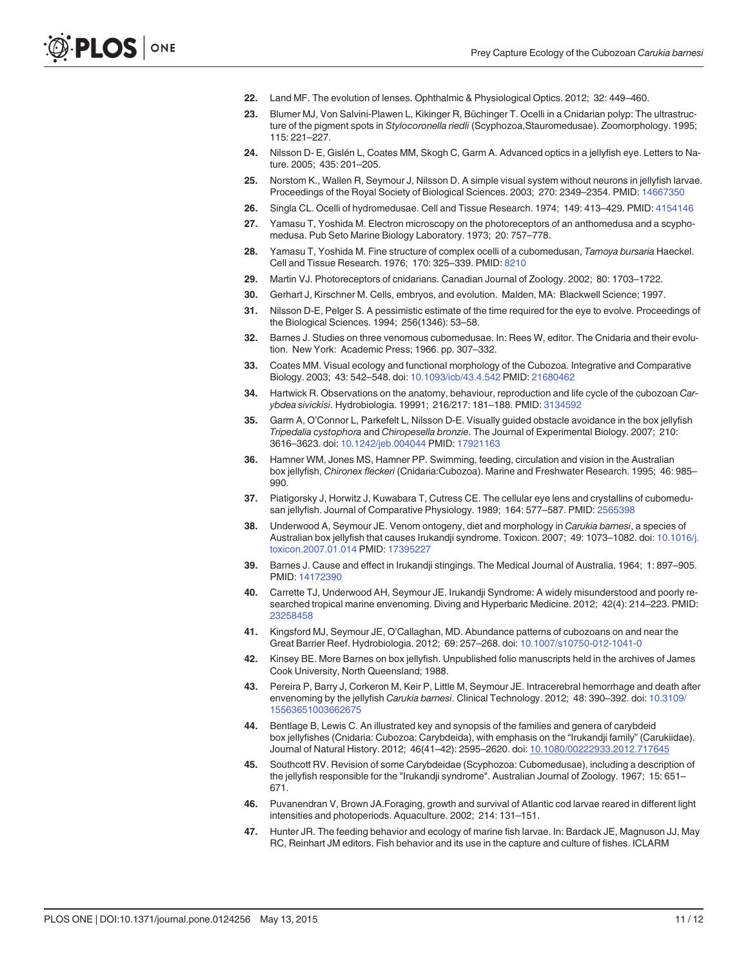- <span id="page-10-0"></span>[22.](#page-1-0) Land MF. The evolution of lenses. Ophthalmic & Physiological Optics. 2012; 32: 449–460.
- [23.](#page-1-0) Blumer MJ, Von Salvini-Plawen L, Kikinger R, Büchinger T. Ocelli in a Cnidarian polyp: The ultrastructure of the pigment spots in Stylocoronella riedli (Scyphozoa, Stauromedusae). Zoomorphology. 1995; 115: 221–227.
- [24.](#page-1-0) Nilsson D- E, Gislén L, Coates MM, Skogh C, Garm A. Advanced optics in a jellyfish eye. Letters to Nature. 2005; 435: 201–205.
- 25. Norstom K., Wallen R, Seymour J, Nilsson D. A simple visual system without neurons in jellyfish larvae. Proceedings of the Royal Society of Biological Sciences. 2003; 270: 2349–2354. PMID: [14667350](http://www.ncbi.nlm.nih.gov/pubmed/14667350)
- 26. Singla CL. Ocelli of hydromedusae. Cell and Tissue Research. 1974; 149: 413-429. PMID: [4154146](http://www.ncbi.nlm.nih.gov/pubmed/4154146)
- 27. Yamasu T, Yoshida M. Electron microscopy on the photoreceptors of an anthomedusa and a scyphomedusa. Pub Seto Marine Biology Laboratory. 1973; 20: 757–778.
- [28.](#page-1-0) Yamasu T, Yoshida M. Fine structure of complex ocelli of a cubomedusan, Tamoya bursaria Haeckel. Cell and Tissue Research. 1976; 170: 325–339. PMID: [8210](http://www.ncbi.nlm.nih.gov/pubmed/8210)
- [29.](#page-1-0) Martin VJ. Photoreceptors of cnidarians. Canadian Journal of Zoology. 2002; 80: 1703–1722.
- [30.](#page-1-0) Gerhart J, Kirschner M. Cells, embryos, and evolution. Malden, MA: Blackwell Science; 1997.
- [31.](#page-1-0) Nilsson D-E, Pelger S. A pessimistic estimate of the time required for the eye to evolve. Proceedings of the Biological Sciences. 1994; 256(1346): 53–58.
- [32.](#page-1-0) Barnes J. Studies on three venomous cubomedusae. In: Rees W, editor. The Cnidaria and their evolution. New York: Academic Press; 1966. pp. 307–332.
- [33.](#page-1-0) Coates MM. Visual ecology and functional morphology of the Cubozoa. Integrative and Comparative Biology. 2003; 43: 542–548. doi: [10.1093/icb/43.4.542](http://dx.doi.org/10.1093/icb/43.4.542) PMID: [21680462](http://www.ncbi.nlm.nih.gov/pubmed/21680462)
- [34.](#page-1-0) Hartwick R. Observations on the anatomy, behaviour, reproduction and life cycle of the cubozoan Carybdea sivickisi. Hydrobiologia. 19991; 216/217: 181–188. PMID: [3134592](http://www.ncbi.nlm.nih.gov/pubmed/3134592)
- [35.](#page-1-0) Garm A, O'Connor L, Parkefelt L, Nilsson D-E. Visually guided obstacle avoidance in the box jellyfish Tripedalia cystophora and Chiropesella bronzie. The Journal of Experimental Biology. 2007; 210: 3616–3623. doi: [10.1242/jeb.004044](http://dx.doi.org/10.1242/jeb.004044) PMID: [17921163](http://www.ncbi.nlm.nih.gov/pubmed/17921163)
- [36.](#page-1-0) Hamner WM, Jones MS, Hamner PP. Swimming, feeding, circulation and vision in the Australian box jellyfish, Chironex fleckeri (Cnidaria:Cubozoa). Marine and Freshwater Research. 1995; 46: 985– 990.
- [37.](#page-1-0) Piatigorsky J, Horwitz J, Kuwabara T, Cutress CE. The cellular eye lens and crystallins of cubomedusan jellyfish. Journal of Comparative Physiology. 1989; 164: 577–587. PMID: [2565398](http://www.ncbi.nlm.nih.gov/pubmed/2565398)
- [38.](#page-1-0) Underwood A, Seymour JE. Venom ontogeny, diet and morphology in Carukia barnesi, a species of Australian box jellyfish that causes Irukandji syndrome. Toxicon. 2007; 49: 1073–1082. doi: [10.1016/j.](http://dx.doi.org/10.1016/j.toxicon.2007.01.014) [toxicon.2007.01.014](http://dx.doi.org/10.1016/j.toxicon.2007.01.014) PMID: [17395227](http://www.ncbi.nlm.nih.gov/pubmed/17395227)
- [39.](#page-1-0) Barnes J. Cause and effect in Irukandji stingings. The Medical Journal of Australia. 1964; 1: 897–905. PMID: [14172390](http://www.ncbi.nlm.nih.gov/pubmed/14172390)
- [40.](#page-8-0) Carrette TJ, Underwood AH, Seymour JE. Irukandji Syndrome: A widely misunderstood and poorly researched tropical marine envenoming. Diving and Hyperbaric Medicine. 2012; 42(4): 214–223. PMID: [23258458](http://www.ncbi.nlm.nih.gov/pubmed/23258458)
- 41. Kingsford MJ, Seymour JE, O'Callaghan, MD. Abundance patterns of cubozoans on and near the Great Barrier Reef. Hydrobiologia. 2012; 69: 257–268. doi: [10.1007/s10750-012-1041-0](http://dx.doi.org/10.1007/s10750-012-1041-0)
- [42.](#page-1-0) Kinsey BE. More Barnes on box jellyfish. Unpublished folio manuscripts held in the archives of James Cook University, North Queensland; 1988.
- [43.](#page-1-0) Pereira P, Barry J, Corkeron M, Keir P, Little M, Seymour JE. Intracerebral hemorrhage and death after envenoming by the jellyfish Carukia barnesi. Clinical Technology. 2012; 48: 390–392. doi: [10.3109/](http://dx.doi.org/10.3109/15563651003662675) [15563651003662675](http://dx.doi.org/10.3109/15563651003662675)
- [44.](#page-1-0) Bentlage B, Lewis C. An illustrated key and synopsis of the families and genera of carybdeid box jellyfishes (Cnidaria: Cubozoa: Carybdeida), with emphasis on the "Irukandji family" (Carukiidae). Journal of Natural History. 2012; 46(41–42): 2595–2620. doi: [10.1080/00222933.2012.717645](http://dx.doi.org/10.1080/00222933.2012.717645)
- [45.](#page-1-0) Southcott RV. Revision of some Carybdeidae (Scyphozoa: Cubomedusae), including a description of the jellyfish responsible for the "Irukandji syndrome". Australian Journal of Zoology. 1967; 15: 651– 671.
- [46.](#page-6-0) Puvanendran V, Brown JA.Foraging, growth and survival of Atlantic cod larvae reared in different light intensities and photoperiods. Aquaculture. 2002; 214: 131–151.
- [47.](#page-6-0) Hunter JR. The feeding behavior and ecology of marine fish larvae. In: Bardack JE, Magnuson JJ, May RC, Reinhart JM editors. Fish behavior and its use in the capture and culture of fishes. ICLARM